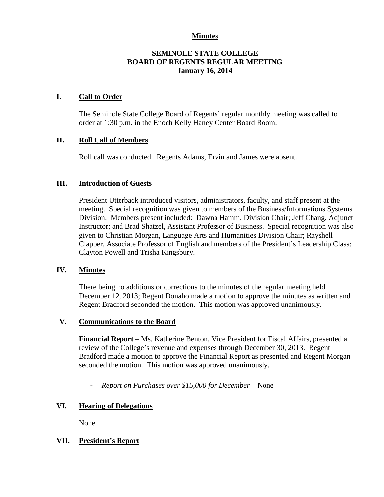### **Minutes**

## **SEMINOLE STATE COLLEGE BOARD OF REGENTS REGULAR MEETING January 16, 2014**

### **I. Call to Order**

The Seminole State College Board of Regents' regular monthly meeting was called to order at 1:30 p.m. in the Enoch Kelly Haney Center Board Room.

### **II. Roll Call of Members**

Roll call was conducted. Regents Adams, Ervin and James were absent.

### **III. Introduction of Guests**

President Utterback introduced visitors, administrators, faculty, and staff present at the meeting. Special recognition was given to members of the Business/Informations Systems Division. Members present included: Dawna Hamm, Division Chair; Jeff Chang, Adjunct Instructor; and Brad Shatzel, Assistant Professor of Business. Special recognition was also given to Christian Morgan, Language Arts and Humanities Division Chair; Rayshell Clapper, Associate Professor of English and members of the President's Leadership Class: Clayton Powell and Trisha Kingsbury.

#### **IV. Minutes**

There being no additions or corrections to the minutes of the regular meeting held December 12, 2013; Regent Donaho made a motion to approve the minutes as written and Regent Bradford seconded the motion. This motion was approved unanimously.

#### **V. Communications to the Board**

**Financial Report** – Ms. Katherine Benton, Vice President for Fiscal Affairs, presented a review of the College's revenue and expenses through December 30, 2013. Regent Bradford made a motion to approve the Financial Report as presented and Regent Morgan seconded the motion. This motion was approved unanimously.

**-** *Report on Purchases over \$15,000 for December –* None

## **VI. Hearing of Delegations**

None

## **VII. President's Report**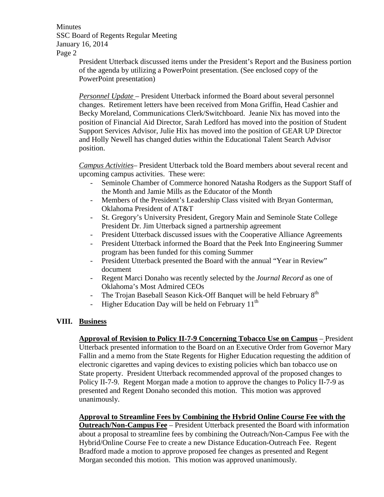**Minutes** SSC Board of Regents Regular Meeting January 16, 2014 Page 2

> President Utterback discussed items under the President's Report and the Business portion of the agenda by utilizing a PowerPoint presentation. (See enclosed copy of the PowerPoint presentation)

*Personnel Update* – President Utterback informed the Board about several personnel changes. Retirement letters have been received from Mona Griffin, Head Cashier and Becky Moreland, Communications Clerk/Switchboard. Jeanie Nix has moved into the position of Financial Aid Director, Sarah Ledford has moved into the position of Student Support Services Advisor, Julie Hix has moved into the position of GEAR UP Director and Holly Newell has changed duties within the Educational Talent Search Advisor position.

*Campus Activities*– President Utterback told the Board members about several recent and upcoming campus activities. These were:

- Seminole Chamber of Commerce honored Natasha Rodgers as the Support Staff of the Month and Jamie Mills as the Educator of the Month
- Members of the President's Leadership Class visited with Bryan Gonterman, Oklahoma President of AT&T
- St. Gregory's University President, Gregory Main and Seminole State College President Dr. Jim Utterback signed a partnership agreement
- President Utterback discussed issues with the Cooperative Alliance Agreements
- President Utterback informed the Board that the Peek Into Engineering Summer program has been funded for this coming Summer
- President Utterback presented the Board with the annual "Year in Review" document
- Regent Marci Donaho was recently selected by the *Journal Record* as one of Oklahoma's Most Admired CEOs
- The Trojan Baseball Season Kick-Off Banquet will be held February 8<sup>th</sup>
- Higher Education Day will be held on February  $11<sup>th</sup>$

## **VIII. Business**

**Approval of Revision to Policy II-7-9 Concerning Tobacco Use on Campus** – President Utterback presented information to the Board on an Executive Order from Governor Mary Fallin and a memo from the State Regents for Higher Education requesting the addition of electronic cigarettes and vaping devices to existing policies which ban tobacco use on State property. President Utterback recommended approval of the proposed changes to Policy II-7-9. Regent Morgan made a motion to approve the changes to Policy II-7-9 as presented and Regent Donaho seconded this motion. This motion was approved unanimously.

**Approval to Streamline Fees by Combining the Hybrid Online Course Fee with the Outreach/Non-Campus Fee** – President Utterback presented the Board with information about a proposal to streamline fees by combining the Outreach/Non-Campus Fee with the Hybrid/Online Course Fee to create a new Distance Education-Outreach Fee. Regent Bradford made a motion to approve proposed fee changes as presented and Regent Morgan seconded this motion. This motion was approved unanimously.